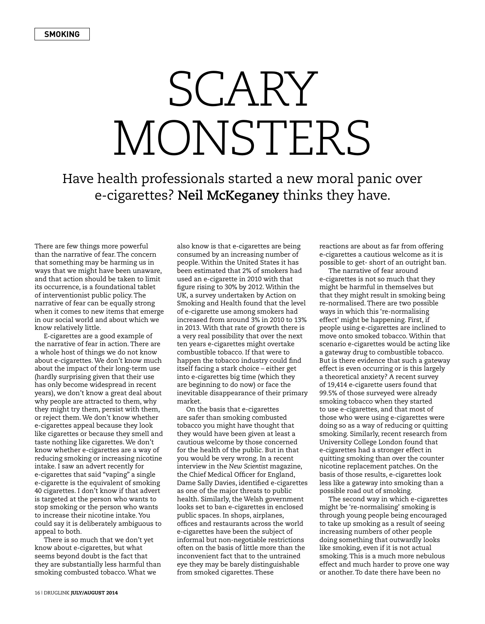## SCARY MONSTERS

Have health professionals started a new moral panic over e-cigarettes? **Neil McKeganey** thinks they have.

There are few things more powerful than the narrative of fear. The concern that something may be harming us in ways that we might have been unaware, and that action should be taken to limit its occurrence, is a foundational tablet of interventionist public policy. The narrative of fear can be equally strong when it comes to new items that emerge in our social world and about which we know relatively little.

E-cigarettes are a good example of the narrative of fear in action. There are a whole host of things we do not know about e-cigarettes. We don't know much about the impact of their long-term use (hardly surprising given that their use has only become widespread in recent years), we don't know a great deal about why people are attracted to them, why they might try them, persist with them, or reject them. We don't know whether e-cigarettes appeal because they look like cigarettes or because they smell and taste nothing like cigarettes. We don't know whether e-cigarettes are a way of reducing smoking or increasing nicotine intake. I saw an advert recently for e-cigarettes that said "vaping" a single e-cigarette is the equivalent of smoking 40 cigarettes. I don't know if that advert is targeted at the person who wants to stop smoking or the person who wants to increase their nicotine intake. You could say it is deliberately ambiguous to appeal to both.

There is so much that we don't yet know about e-cigarettes, but what seems beyond doubt is the fact that they are substantially less harmful than smoking combusted tobacco. What we

also know is that e-cigarettes are being consumed by an increasing number of people. Within the United States it has been estimated that 2% of smokers had used an e-cigarette in 2010 with that figure rising to 30% by 2012. Within the UK, a survey undertaken by Action on Smoking and Health found that the level of e-cigarette use among smokers had increased from around 3% in 2010 to 13% in 2013. With that rate of growth there is a very real possibility that over the next ten years e-cigarettes might overtake combustible tobacco. If that were to happen the tobacco industry could find itself facing a stark choice – either get into e-cigarettes big time (which they are beginning to do now) or face the inevitable disappearance of their primary market.

On the basis that e-cigarettes are safer than smoking combusted tobacco you might have thought that they would have been given at least a cautious welcome by those concerned for the health of the public. But in that you would be very wrong. In a recent interview in the *New Scientist* magazine, the Chief Medical Officer for England, Dame Sally Davies, identified e-cigarettes as one of the major threats to public health. Similarly, the Welsh government looks set to ban e-cigarettes in enclosed public spaces. In shops, airplanes, offices and restaurants across the world e-cigarettes have been the subject of informal but non-negotiable restrictions often on the basis of little more than the inconvenient fact that to the untrained eye they may be barely distinguishable from smoked cigarettes. These

reactions are about as far from offering e-cigarettes a cautious welcome as it is possible to get- short of an outright ban.

The narrative of fear around e-cigarettes is not so much that they might be harmful in themselves but that they might result in smoking being re-normalised. There are two possible ways in which this 're-normalising effect' might be happening. First, if people using e-cigarettes are inclined to move onto smoked tobacco. Within that scenario e-cigarettes would be acting like a gateway drug to combustible tobacco. But is there evidence that such a gateway effect is even occurring or is this largely a theoretical anxiety? A recent survey of 19,414 e-cigarette users found that 99.5% of those surveyed were already smoking tobacco when they started to use e-cigarettes, and that most of those who were using e-cigarettes were doing so as a way of reducing or quitting smoking. Similarly, recent research from University College London found that e-cigarettes had a stronger effect in quitting smoking than over the counter nicotine replacement patches. On the basis of those results, e-cigarettes look less like a gateway into smoking than a possible road out of smoking.

The second way in which e-cigarettes might be 're-normalising' smoking is through young people being encouraged to take up smoking as a result of seeing increasing numbers of other people doing something that outwardly looks like smoking, even if it is not actual smoking. This is a much more nebulous effect and much harder to prove one way or another. To date there have been no